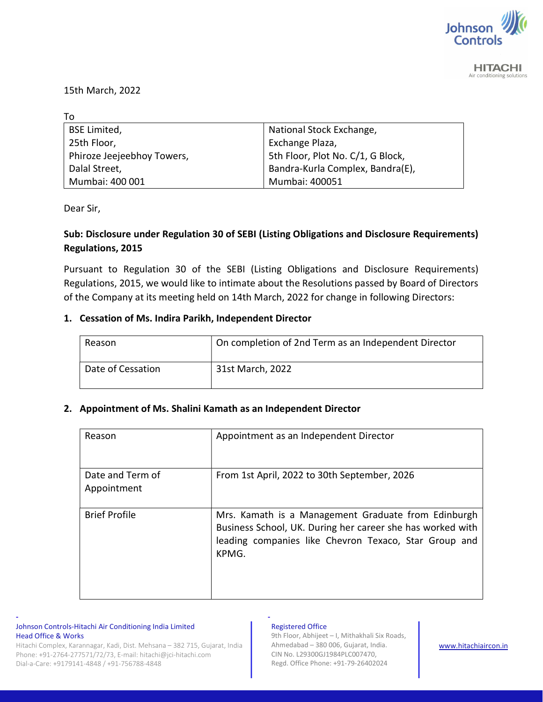

**HITACHI** Air conditioning solutions

15th March, 2022

| To                         |                                   |
|----------------------------|-----------------------------------|
| <b>BSE Limited,</b>        | National Stock Exchange,          |
| 25th Floor,                | Exchange Plaza,                   |
| Phiroze Jeejeebhoy Towers, | 5th Floor, Plot No. C/1, G Block, |
| Dalal Street,              | Bandra-Kurla Complex, Bandra(E),  |
| Mumbai: 400 001            | Mumbai: 400051                    |

Dear Sir,

## Sub: Disclosure under Regulation 30 of SEBI (Listing Obligations and Disclosure Requirements) Regulations, 2015

Pursuant to Regulation 30 of the SEBI (Listing Obligations and Disclosure Requirements) Regulations, 2015, we would like to intimate about the Resolutions passed by Board of Directors of the Company at its meeting held on 14th March, 2022 for change in following Directors:

### 1. Cessation of Ms. Indira Parikh, Independent Director

| Reason            | On completion of 2nd Term as an Independent Director |
|-------------------|------------------------------------------------------|
| Date of Cessation | 31st March, 2022                                     |

## 2. Appointment of Ms. Shalini Kamath as an Independent Director

| Reason               | Appointment as an Independent Director                                                                                                                                              |
|----------------------|-------------------------------------------------------------------------------------------------------------------------------------------------------------------------------------|
| Date and Term of     | From 1st April, 2022 to 30th September, 2026                                                                                                                                        |
| Appointment          |                                                                                                                                                                                     |
| <b>Brief Profile</b> | Mrs. Kamath is a Management Graduate from Edinburgh<br>Business School, UK. During her career she has worked with<br>leading companies like Chevron Texaco, Star Group and<br>KPMG. |

#### Johnson Controls-Hitachi Air Conditioning India Limited Head Office & Works

Hitachi Complex, Karannagar, Kadi, Dist. Mehsana – 382 715, Gujarat, India Phone: +91-2764-277571/72/73, E-mail: hitachi@jci-hitachi.com Dial-a-Care: +9179141-4848 / +91-756788-4848

- -

#### Registered Office

9th Floor, Abhijeet – I, Mithakhali Six Roads, Ahmedabad – 380 006, Gujarat, India. CIN No. L29300GJ1984PLC007470, Regd. Office Phone: +91-79-26402024